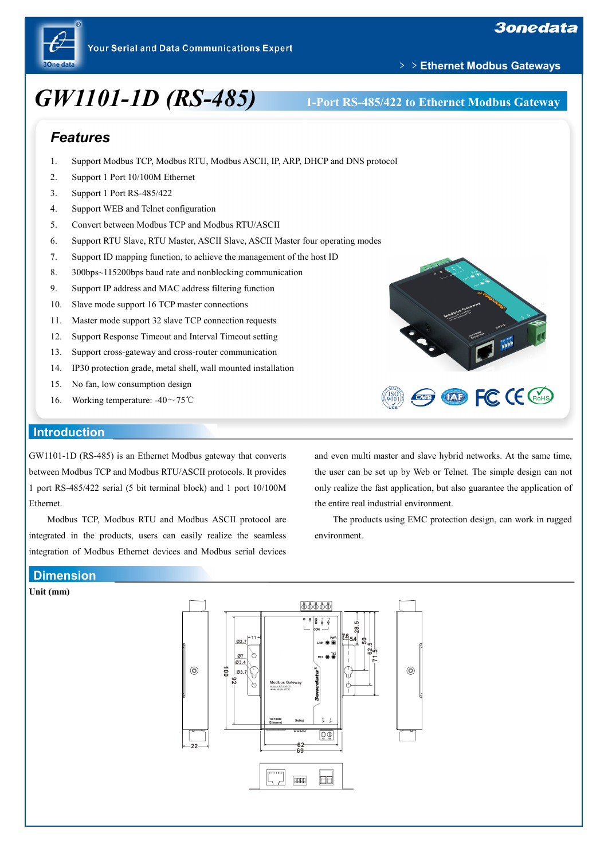

# *GW1101-1D (RS-485)* **1-Port RS-485/422 to Ethernet Modbus Gateway**

﹥﹥**Ethernet Modbus Gateways**

# *Features*

- 1. Support Modbus TCP, Modbus RTU, Modbus ASCII, IP, ARP, DHCP and DNS protocol
- 2. Support 1 Port 10/100M Ethernet
- 3. Support 1 Port RS-485/422
- 4. Support WEB and Telnet configuration
- 5. Convert between Modbus TCP and Modbus RTU/ASCII
- 6. Support RTU Slave, RTU Master, ASCII Slave, ASCII Master four operating modes
- 7. Support ID mapping function, to achieve the management of the host ID
- 8. 300bps~115200bps baud rate and nonblocking communication
- 9. Support IP address and MAC address filtering function
- 10. Slave mode support 16 TCP master connections
- 11. Master mode support 32 slave TCP connection requests
- 12. Support Response Timeout and Interval Timeout setting
- 13. Support cross-gateway and cross-router communication
- 14. IP30 protection grade, metal shell, wall mounted installation
- 15. No fan, low consumption design
- 16. Working temperature: -40~75℃

### **Introduction**

GW1101-1D (RS-485) is an Ethernet Modbus gateway that converts between Modbus TCP and Modbus RTU/ASCII protocols. It provides 1 port RS-485/422 serial (5 bit terminal block) and 1 port 10/100M Ethernet.

Modbus TCP, Modbus RTU and Modbus ASCII protocol are integrated in the products, users can easily realize the seamless integration of Modbus Ethernet devices and Modbus serial devices and even multi master and slave hybrid networks. At the same time, the user can be set up by Web or Telnet. The simple design can not only realize the fast application, but also guarantee the application of the entire real industrial environment.

The products using EMC protection design, can work in rugged environment.

# **Dimension**

**Unit (mm)**





**EXP FC CE CROHS**